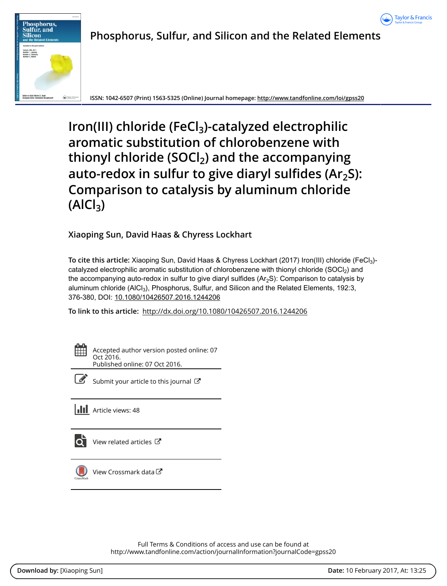



# **Phosphorus, Sulfur, and Silicon and the Related Elements**

**ISSN: 1042-6507 (Print) 1563-5325 (Online) Journal homepage:<http://www.tandfonline.com/loi/gpss20>**

**Iron(III) chloride (FeCl3)-catalyzed electrophilic aromatic substitution of chlorobenzene with thionyl chloride (SOCl2) and the accompanying auto-redox in sulfur to give diaryl sulfides (Ar2S): Comparison to catalysis by aluminum chloride (AlCl3)**

**Xiaoping Sun, David Haas & Chyress Lockhart**

**To cite this article:** Xiaoping Sun, David Haas & Chyress Lockhart (2017) Iron(III) chloride (FeCl3) catalyzed electrophilic aromatic substitution of chlorobenzene with thionyl chloride (SOCl<sub>2</sub>) and the accompanying auto-redox in sulfur to give diaryl sulfides  $(Ar<sub>2</sub>S)$ : Comparison to catalysis by aluminum chloride (AlCl<sub>3</sub>), Phosphorus, Sulfur, and Silicon and the Related Elements, 192:3, 376-380, DOI: [10.1080/10426507.2016.1244206](http://www.tandfonline.com/action/showCitFormats?doi=10.1080/10426507.2016.1244206)

**To link to this article:** <http://dx.doi.org/10.1080/10426507.2016.1244206>



Accepted author version posted online: 07 Oct 2016. Published online: 07 Oct 2016.



[Submit your article to this journal](http://www.tandfonline.com/action/authorSubmission?journalCode=gpss20&show=instructions)  $\mathbb{Z}$ 

**III** Article views: 48



 $\overrightarrow{O}$  [View related articles](http://www.tandfonline.com/doi/mlt/10.1080/10426507.2016.1244206)  $\overrightarrow{C}$ 



[View Crossmark data](http://crossmark.crossref.org/dialog/?doi=10.1080/10426507.2016.1244206&domain=pdf&date_stamp=2016-10-07)<sup>C</sup>

Full Terms & Conditions of access and use can be found at <http://www.tandfonline.com/action/journalInformation?journalCode=gpss20>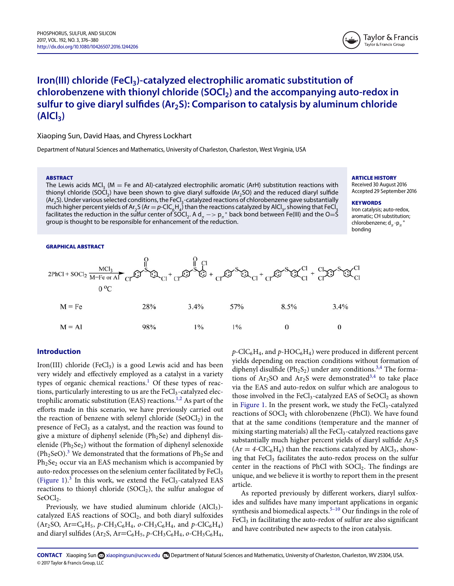

## **Iron(III) chloride (FeCl<sub>3</sub>)-catalyzed electrophilic aromatic substitution of chlorobenzene with thionyl chloride (SOCl) and the accompanying auto-redox in** sulfur to give diaryl sulfides (Ar<sub>2</sub>S): Comparison to catalysis by aluminum chloride **(AlCl)**

Xiaoping Sun, David Haas, and Chyress Lockhart

Department of Natural Sciences and Mathematics, University of Charleston, Charleston, West Virginia, USA

#### **ABSTRACT**

The Lewis acids MCl<sub>3</sub> (M  $=$  Fe and Al)-catalyzed electrophilic aromatic (ArH) substitution reactions with thionyl chloride (SOCl<sub>2</sub>) have been shown to give diaryl sulfoxide (Ar<sub>2</sub>SO) and the reduced diaryl sulfide  $(\text{Ar}_2\text{S})$ . Under various selected conditions, the FeCl<sub>3</sub>-catalyzed reactions of chlorobenzene gave substantially much higher percent yields of Ar<sub>2</sub>S (Ar = p-ClC<sub>6</sub>H<sub>4</sub>) than the reactions catalyzed by AlCl<sub>3</sub>, showing that FeCl<sub>3</sub> facilitates the reduction in the sulfur center of SOCl<sub>2</sub>. A d<sub>π</sub> −> p<sub>π</sub>\* back bond between Fe(III) and the O=S group is thought to be responsible for enhancement of the reduction.

#### **GRAPHICAL ABSTRACT**



#### **Introduction**

Iron(III) chloride (FeCl<sub>3</sub>) is a good Lewis acid and has been very widely and effectively employed as a catalyst in a variety types of organic chemical reactions.<sup>[1](#page-5-0)</sup> Of these types of reactions, particularly interesting to us are the FeCl<sub>3</sub>-catalyzed elec-trophilic aromatic substitution (EAS) reactions.<sup>[1,2](#page-5-0)</sup> As part of the efforts made in this scenario, we have previously carried out the reaction of benzene with selenyl chloride  $(SeOCl<sub>2</sub>)$  in the presence of FeCl<sub>3</sub> as a catalyst, and the reaction was found to give a mixture of diphenyl selenide ( $Ph<sub>2</sub>Se$ ) and diphenyl diselenide ( $Ph<sub>2</sub>Se<sub>2</sub>$ ) without the formation of diphenyl selenoxide  $(Ph<sub>2</sub>SeO).<sup>3</sup>$  $(Ph<sub>2</sub>SeO).<sup>3</sup>$  $(Ph<sub>2</sub>SeO).<sup>3</sup>$  We demonstrated that the formations of  $Ph<sub>2</sub>Se$  and Ph<sub>2</sub>Se<sub>2</sub> occur via an EAS mechanism which is accompanied by auto-redox processes on the selenium center facilitated by FeCl<sub>3</sub> [\(Figure 1\)](#page-2-0).<sup>[3](#page-5-1)</sup> In this work, we extend the FeCl<sub>3</sub>-catalyzed EAS reactions to thionyl chloride  $(SOCl<sub>2</sub>)$ , the sulfur analogue of SeOCl<sub>2</sub>.

Previously, we have studied aluminum chloride  $(AICI<sub>3</sub>)$ catalyzed EAS reactions of  $S OCl<sub>2</sub>$ , and both diaryl sulfoxides (Ar<sub>2</sub>SO, Ar=C<sub>6</sub>H<sub>5</sub>,  $p$ -CH<sub>3</sub>C<sub>6</sub>H<sub>4</sub>,  $o$ -CH<sub>3</sub>C<sub>6</sub>H<sub>4</sub>, and  $p$ -ClC<sub>6</sub>H<sub>4</sub>) and diaryl sulfides (Ar<sub>2</sub>S, Ar=C<sub>6</sub>H<sub>5</sub>,  $p$ -CH<sub>3</sub>C<sub>6</sub>H<sub>4</sub>,  $o$ -CH<sub>3</sub>C<sub>6</sub>H<sub>4</sub>,  $p$ -ClC<sub>6</sub>H<sub>4</sub>, and  $p$ -HOC<sub>6</sub>H<sub>4</sub>) were produced in different percent yields depending on reaction conditions without formation of diphenyl disulfide ( $Ph<sub>2</sub>S<sub>2</sub>$ ) under any conditions.<sup>[3,4](#page-5-1)</sup> The formations of  $Ar<sub>2</sub>SO$  and  $Ar<sub>2</sub>S$  were demonstrated<sup>[3,4](#page-5-1)</sup> to take place via the EAS and auto-redox on sulfur which are analogous to those involved in the FeCl<sub>3</sub>-catalyzed EAS of SeOCl<sub>2</sub> as shown in [Figure 1.](#page-2-0) In the present work, we study the  $FeCl<sub>3</sub>$ -catalyzed reactions of SOCl<sub>2</sub> with chlorobenzene (PhCl). We have found that at the same conditions (temperature and the manner of mixing starting materials) all the  $FeCl<sub>3</sub>$ -catalyzed reactions gave substantially much higher percent yields of diaryl sulfide  $Ar<sub>2</sub>S$  $Ar = 4-CIC<sub>6</sub>H<sub>4</sub>$ ) than the reactions catalyzed by AlCl<sub>3</sub>, showing that  $FeCl<sub>3</sub>$  facilitates the auto-redox process on the sulfur center in the reactions of PhCl with  $S OCl<sub>2</sub>$ . The findings are unique, and we believe it is worthy to report them in the present article[.](#page-2-1)

As reported previously by different workers, diaryl sulfoxides and sulfides have many important applications in organic synthesis and biomedical aspects.<sup>5-10</sup> Our findings in the role of  $FeCl<sub>3</sub>$  in facilitating the auto-redox of sulfur are also significant and have contributed new aspects to the iron catalysis.

**ARTICLE HISTORY**

Received 30 August 2016 Accepted 29 September 2016

#### **KEYWORDS**

Iron catalysis; auto-redox, aromatic; CH substitution; chlorobenzene; d $_{\pi}$ -p $_{\pi}$ \* bonding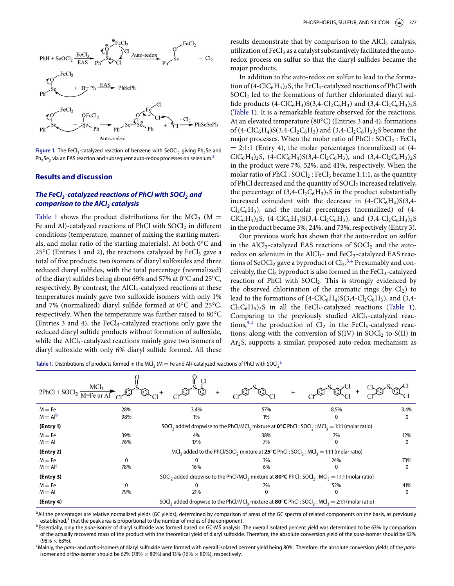<span id="page-2-0"></span>

Figure 1. The FeCl<sub>3</sub>-catalyzed reaction of benzene with SeOCl<sub>2</sub> giving Ph<sub>2</sub>Se and  $Ph_2Se_2$  via an EAS reaction and subsequent auto-redox processes on selenium[.](#page-5-1)<sup>3</sup>

#### **Results and discussion**

### *The FeCl<sub>3</sub>-catalyzed reactions of PhCl with SOCl<sub>2</sub> and comparison to the AlCl<sub>3</sub> catalysis*

[Table 1](#page-2-1) shows the product distributions for the MCl<sub>3</sub> ( $M =$ Fe and Al)-catalyzed reactions of PhCl with  $S OCl<sub>2</sub>$  in different conditions (temperature, manner of mixing the starting materials, and molar ratio of the starting materials). At both 0°C and  $25^{\circ}$ C (Entries 1 and 2), the reactions catalyzed by FeCl<sub>3</sub> gave a total of five products; two isomers of diaryl sulfoxides and three reduced diaryl sulfides, with the total percentage (normalized) of the diaryl sulfides being about 69% and 57% at 0°C and 25°C, respectively. By contrast, the AlCl<sub>3</sub>-catalyzed reactions at these temperatures mainly gave two sulfoxide isomers with only 1% and 7% (normalized) diaryl sulfide formed at 0°C and 25°C, respectively. When the temperature was further raised to 80°C (Entries 3 and 4), the FeCl<sub>3</sub>-catalyzed reactions only gave the reduced diaryl sulfide products without formation of sulfoxide, while the AlCl<sub>3</sub>-catalyzed reactions mainly gave two isomers of diaryl sulfoxide with only 6% diaryl sulfide formed. All these

results demonstrate that by comparison to the AlCl<sub>3</sub> catalysis, utilization of FeCl<sub>3</sub> as a catalyst substantively facilitated the autoredox process on sulfur so that the diaryl sulfides became the major products.

In addition to the auto-redox on sulfur to lead to the formation of  $(4\text{-}ClC_6H_4)_2S$ , the FeCl<sub>3</sub>-catalyzed reactions of PhCl with  $SOCl<sub>2</sub>$  led to the formations of further chlorinated diaryl sulfide products  $(4\text{-}ClC_6H_4)S(3,4\text{-}Cl_2C_6H_3)$  and  $(3,4\text{-}Cl_2C_6H_3)_2S$ [\(Table 1\)](#page-2-1). It is a remarkable feature observed for the reactions. At an elevated temperature (80°C) (Entries 3 and 4), formations of  $(4\text{-}ClC_6H_4)S(3,4\text{-}Cl_2C_6H_3)$  and  $(3,4\text{-}Cl_2C_6H_3)_2S$  became the major processes. When the molar ratio of  $PhCl : SOCl<sub>2</sub> : FeCl<sub>3</sub>$  $= 2:1:1$  (Entry 4), the molar percentages (normalized) of (4- $ClC_6H_4)_2S$ , (4-ClC<sub>6</sub>H<sub>4</sub>)S(3,4-Cl<sub>2</sub>C<sub>6</sub>H<sub>3</sub>), and (3,4-Cl<sub>2</sub>C<sub>6</sub>H<sub>3</sub>)<sub>2</sub>S in the product were 7%, 52%, and 41%, respectively. When the molar ratio of  $PhCl : SOCl_2 : FeCl_3$  became 1:1:1, as the quantity of PhCl decreased and the quantity of  $S OCl<sub>2</sub>$  increased relatively, the percentage of  $(3,4-\text{Cl}_2\text{C}_6\text{H}_3)_2$ S in the product substantially increased coincident with the decrease in  $(4\text{-ClC}_6H_4)S(3,4 Cl_2C_6H_3$ ), and the molar percentages (normalized) of (4- $ClC_6H_4)_2S$ , (4-ClC<sub>6</sub>H<sub>4</sub>)S(3,4-Cl<sub>2</sub>C<sub>6</sub>H<sub>3</sub>), and (3,4-Cl<sub>2</sub>C<sub>6</sub>H<sub>3</sub>)<sub>2</sub>S in the product became 3%, 24%, and 73%, respectively (Entry 3).

Our previous work has shown that the auto-redox on sulfur in the AlCl<sub>3</sub>-catalyzed EAS reactions of  $S OCl<sub>2</sub>$  and the autoredox on selenium in the AlCl<sub>3</sub>- and FeCl<sub>3</sub>-catalyzed EAS reactions of SeOCl<sub>2</sub> gave a byproduct of  $Cl<sub>2</sub>.<sup>3,4</sup>$  $Cl<sub>2</sub>.<sup>3,4</sup>$  $Cl<sub>2</sub>.<sup>3,4</sup>$  Presumably and conceivably, the  $Cl_2$  byproduct is also formed in the Fe $Cl_3$ -catalyzed reaction of PhCl with  $S OCl<sub>2</sub>$ . This is strongly evidenced by the observed chlorination of the aromatic rings (by  $Cl<sub>2</sub>$ ) to lead to the formations of  $(4\text{-}ClC_6H_4)S(3,4\text{-}Cl_2C_6H_3)$ , and  $(3,4\text{-}Cl_2C_6H_3)S(3,4\text{-}Cl_2C_6H_3)$  $Cl_2C_6H_3$ )<sub>2</sub>S in all the FeCl<sub>3</sub>-catalyzed reactions [\(Table 1\)](#page-2-1). Comparing to the previously studied  $AICI<sub>3</sub>$ -catalyzed reac-tions,<sup>[3,4](#page-5-1)</sup> the production of  $Cl_2$  in the FeCl<sub>3</sub>-catalyzed reactions, along with the conversion of  $S(IV)$  in  $SOCl<sub>2</sub>$  to  $S(II)$  in Ar2S, supports a similar, proposed auto-redox mechanism as

<span id="page-2-1"></span>**T[a](#page-2-2)ble 1.** Distributions of products formed in the MCl<sub>3</sub> (M = Fe and Al)-catalyzed reactions of PhCl with SOCl<sub>2</sub><sup>a</sup>

| $2PhCl + SOCl2$ | MCl <sub>3</sub> |                                                                                                                                                                          |       |      |              |  |
|-----------------|------------------|--------------------------------------------------------------------------------------------------------------------------------------------------------------------------|-------|------|--------------|--|
| $M = Fe$        | 28%              | 3.4%                                                                                                                                                                     | 57%   | 8.5% | 3.4%         |  |
| $M = Alb$       | 98%              | $1\%$                                                                                                                                                                    | $1\%$ |      | $\mathbf{0}$ |  |
| (Entry 1)       |                  | SOCI <sub>2</sub> added dropwise to the PhCl/MCI <sub>2</sub> mixture at $\mathbf{0}^{\circ}\mathbf{C}$ PhCI: SOCI <sub>2</sub> : MCI <sub>3</sub> = 1:1:1 (molar ratio) |       |      |              |  |
| $M = Fe$        | 39%              | 4%                                                                                                                                                                       | 38%   | 7%   | 12%          |  |
| $M = AI$        | 76%              | 17%                                                                                                                                                                      | 7%    |      | 0            |  |
| (Entry 2)       |                  | MCl <sub>3</sub> added to the PhCl/SOCl <sub>2</sub> mixture at <b>25<sup>°</sup>C</b> PhCl : SOCl <sub>2</sub> : MCl <sub>3</sub> = 1:1:1 (molar ratio)                 |       |      |              |  |
| $M = Fe$        | 0                |                                                                                                                                                                          | 3%    | 24%  | 73%          |  |
| $M = AIc$       | 78%              | 16%                                                                                                                                                                      | 6%    | 0    | 0            |  |
| (Entry 3)       |                  | SOCI <sub>2</sub> added dropwise to the PhCl/MCI <sub>2</sub> mixture at <b>80°C</b> PhCl : SOCI <sub>2</sub> : MCI <sub>3</sub> = 1:1:1 (molar ratio)                   |       |      |              |  |
| $M = Fe$        | 0                |                                                                                                                                                                          | 7%    | 52%  | 41%          |  |
| $M = AI$        | 79%              | 21%                                                                                                                                                                      | 0     |      | 0            |  |
| (Entry 4)       |                  | SOCI <sub>2</sub> added dropwise to the PhCl/MCI <sub>3</sub> mixture at <b>80°C</b> PhCI: SOCI <sub>2</sub> : MCI <sub>3</sub> = 2:1:1 (molar ratio)                    |       |      |              |  |

<span id="page-2-2"></span><sup>a</sup> All the percentages are relative normalized yields (GC yields), determined by comparison of areas of the GC spectra of related components on the basis, as previously established,<sup>3</sup> that the peak area is proportional to the number of moles of the component.<br><sup>b</sup>Essentially, only the *para*-isomer of diaryl sulfoxide was formed based on GC-MS analysis. The overall isolated percent yield

<span id="page-2-3"></span>of the actually recovered mass of the product with the theoretical yield of diaryl sulfoxide. Therefore, the absolute conversion yield of the *para*-isomer should be 62% (98% × 63%).<br><sup>c</sup>Mainly, the *para*- and *ortho*-isomers of diaryl sulfoxide were formed with overall isolated percent yield being 80%. Therefore, the absolute conversion yields of the *para*-

<span id="page-2-4"></span>isomer and *ortho*-isomer should be 62% (78%  $\times$  80%) and 13% (16%  $\times$  80%), respectively.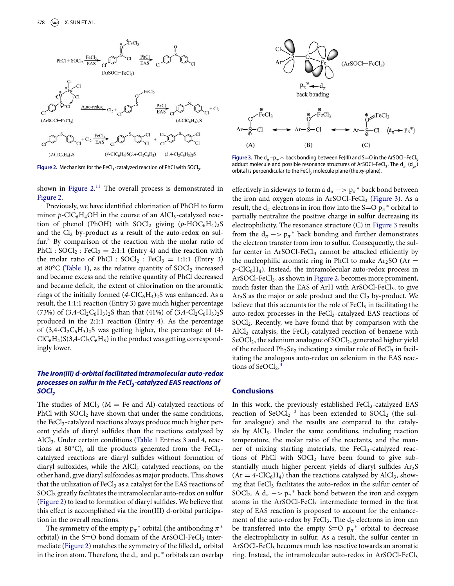<span id="page-3-0"></span>

Figure 2. Mechanism for the FeCl<sub>3</sub>-catalyzed reaction of PhCl with SOCl<sub>2</sub>.

shown in Figure  $2.11$  $2.11$  The overall process is demonstrated in [Figure 2.](#page-3-0)

Previously, we have identified chlorination of PhOH to form minor *p*-ClC<sub>6</sub>H<sub>4</sub>OH in the course of an AlCl<sub>3</sub>-catalyzed reaction of phenol (PhOH) with  $S OCl<sub>2</sub>$  giving  $(p-HOC<sub>6</sub>H<sub>4</sub>)<sub>2</sub>S$ and the  $Cl_2$  by-product as a result of the auto-redox on sul-fur.<sup>[3](#page-5-1)</sup> By comparison of the reaction with the molar ratio of PhCl :  $S OCl_2$ : FeCl<sub>3</sub> = 2:1:1 (Entry 4) and the reaction with the molar ratio of PhCl :  $S OCl_2$  : FeCl<sub>3</sub> = 1:1:1 (Entry 3) at 80°C [\(Table 1\)](#page-2-1), as the relative quantity of  $S OCl<sub>2</sub>$  increased and became excess and the relative quantity of PhCl decreased and became deficit, the extent of chlorination on the aromatic rings of the initially formed  $(4\text{-}ClC_6H_4)_2S$  was enhanced. As a result, the 1:1:1 reaction (Entry 3) gave much higher percentage (73%) of  $(3,4-\text{Cl}_2\text{C}_6\text{H}_3)_2$ S than that (41%) of  $(3,4-\text{Cl}_2\text{C}_6\text{H}_3)_2$ S produced in the 2:1:1 reaction (Entry 4). As the percentage of  $(3,4-\text{Cl}_2\text{C}_6\text{H}_3)_2$ S was getting higher, the percentage of (4- $ClC_6H_4)S(3,4-Cl_2C_6H_3)$  in the product was getting correspondingly lower.

### *The iron(III) d-orbital facilitated intramolecular auto-redox processes on sulfur in the FeCl3-catalyzed EAS reactions of SOCI*<sub>2</sub>

The studies of  $MCl<sub>3</sub>$  (M = Fe and Al)-catalyzed reactions of PhCl with  $S OCl<sub>2</sub>$  have shown that under the same conditions, the FeCl<sub>3</sub>-catalyzed reactions always produce much higher percent yields of diaryl sulfides than the reactions catalyzed by AlCl3. Under certain conditions [\(Table 1](#page-2-1) Entries 3 and 4, reactions at  $80^{\circ}$ C), all the products generated from the FeCl<sub>3</sub>catalyzed reactions are diaryl sulfides without formation of diaryl sulfoxides, while the  $AICI<sub>3</sub>$  catalyzed reactions, on the other hand, give diaryl sulfoxides as major products. This shows that the utilization of FeCl<sub>3</sub> as a catalyst for the EAS reactions of SOCl<sub>2</sub> greatly facilitates the intramolecular auto-redox on sulfur [\(Figure 2\)](#page-3-0) to lead to formation of diaryl sulfides. We believe that this effect is accomplished via the iron(III) d-orbital participation in the overall reactions.

The symmetry of the empty  $p_{\pi}$ <sup>\*</sup> orbital (the antibonding  $\pi$ <sup>\*</sup> orbital) in the  $S=O$  bond domain of the ArSOCl-FeCl<sub>3</sub> inter-mediate [\(Figure 2\)](#page-3-0) matches the symmetry of the filled  $d_{\pi}$  orbital in the iron atom. Therefore, the  $d_{\pi}$  and  $p_{\pi}^*$  orbitals can overlap

<span id="page-3-1"></span>

**Figure 3.** The d<sub>π</sub> –p<sub>π</sub>  $\ast$  back bonding between Fe(III) and S=O in the ArSOCl–FeCl<sub>3</sub><br>adduct molecule and possible resonance structures of ArSOCl–FeCl. The d Ud 1 adduct molecule and possible resonance structures of ArSOCl–FeCl<sub>3</sub>. The  $d_{\pi}$  ( $d_{yz}$ ) orbital is perpendicular to the FeCl<sub>3</sub> molecule plane (the *xy*-plane).

effectively in sideways to form a  $d_\pi \rightarrow p_\pi^*$  back bond between the iron and oxygen atoms in ArSOCl-FeCl<sub>3</sub> [\(Figure 3\)](#page-3-1). As a result, the  $d_{\pi}$  electrons in iron flow into the S=O  $p_{\pi}$ <sup>\*</sup> orbital to partially neutralize the positive charge in sulfur decreasing its electrophilicity. The resonance structure (C) in [Figure 3](#page-3-1) results from the  $d_{\pi} \rightarrow p_{\pi}^{*}$  back bonding and further demonstrates the electron transfer from iron to sulfur. Consequently, the sulfur center in ArSOCl-FeCl<sub>3</sub> cannot be attacked efficiently by the nucleophilic aromatic ring in PhCl to make  $Ar_2SO$  (Ar =  $p$ -ClC<sub>6</sub>H<sub>4</sub>). Instead, the intramolecular auto-redox process in ArSOCl-FeCl<sub>3</sub>, as shown in [Figure 2,](#page-3-0) becomes more prominent, much faster than the EAS of ArH with  $A rSOCl-FeCl<sub>3</sub>$ , to give  $Ar<sub>2</sub>S$  as the major or sole product and the  $Cl<sub>2</sub>$  by-product. We believe that this accounts for the role of FeCl<sub>3</sub> in facilitating the auto-redox processes in the  $FeCl<sub>3</sub>$ -catalyzed EAS reactions of SOCl2. Recently, we have found that by comparison with the AlCl<sub>3</sub> catalysis, the FeCl<sub>3</sub>-catalyzed reaction of benzene with  $SeOCl<sub>2</sub>$ , the selenium analogue of  $SOCl<sub>2</sub>$ , generated higher yield of the reduced  $Ph<sub>2</sub>Se<sub>2</sub>$  indicating a similar role of FeCl<sub>3</sub> in facilitating the analogous auto-redox on selenium in the EAS reactions of  $SeOCl<sub>2</sub>$ .<sup>[3](#page-5-1)</sup>

#### **Conclusions**

In this work, the previously established  $FeCl<sub>3</sub>$ -catalyzed EAS reaction of SeOCl<sub>2</sub>  $^3$  has been extended to SOCl<sub>2</sub> (the sulfur analogue) and the results are compared to the catalysis by  $AICI<sub>3</sub>$ . Under the same conditions, including reaction temperature, the molar ratio of the reactants, and the manner of mixing starting materials, the  $FeCl<sub>3</sub>$ -catalyzed reactions of PhCl with  $S OCl<sub>2</sub>$  have been found to give substantially much higher percent yields of diaryl sulfides  $Ar<sub>2</sub>S$  $(Ar = 4\text{-}ClC_6H_4)$  than the reactions catalyzed by AlCl<sub>3</sub>, showing that FeCl<sub>3</sub> facilitates the auto-redox in the sulfur center of SOCl<sub>2</sub>. A  $d_{\pi}$  −>  $p_{\pi}$ <sup>\*</sup> back bond between the iron and oxygen atoms in the  $ArSOCl-FeCl<sub>3</sub>$  intermediate formed in the first step of EAS reaction is proposed to account for the enhancement of the auto-redox by FeCl<sub>3</sub>. The  $d_{\pi}$  electrons in iron can be transferred into the empty S=O  $p_{\pi}^*$  orbital to decrease the electrophilicity in sulfur. As a result, the sulfur center in ArSOCl-FeCl<sub>3</sub> becomes much less reactive towards an aromatic ring. Instead, the intramolecular auto-redox in ArSOCl-FeCl3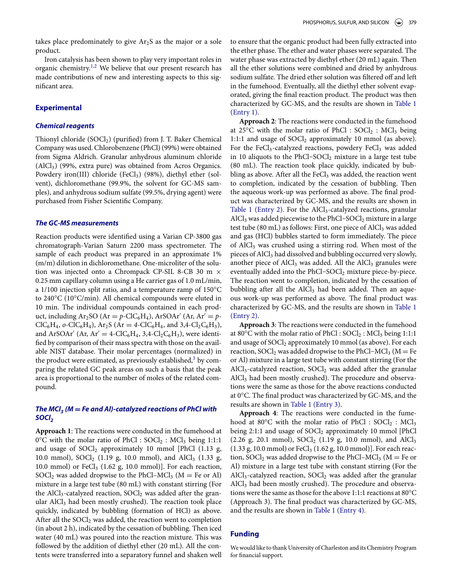takes place predominately to give  $Ar<sub>2</sub>S$  as the major or a sole product.

Iron catalysis has been shown to play very important roles in organic chemistry.<sup>[1,2](#page-5-0)</sup> We believe that our present research has made contributions of new and interesting aspects to this significant area.

#### **Experimental**

#### *Chemical reagents*

Thionyl chloride (SOCl<sub>2</sub>) (purified) from J. T. Baker Chemical Company was used. Chlorobenzene (PhCl) (99%) were obtained from Sigma Aldrich. Granular anhydrous aluminum chloride (AlCl3) (99%, extra pure) was obtained from Acros Organics. Powdery iron(III) chloride (FeCl<sub>3</sub>) (98%), diethyl ether (solvent), dichloromethane (99.9%, the solvent for GC-MS samples), and anhydrous sodium sulfate (99.5%, drying agent) were purchased from Fisher Scientific Company.

#### *The GC-MS measurements*

Reaction products were identified using a Varian CP-3800 gas chromatograph-Varian Saturn 2200 mass spectrometer. The sample of each product was prepared in an approximate 1% (m/m) dilution in dichloromethane. One-microliter of the solution was injected onto a Chrompack CP-SIL 8-CB 30 m × 0.25 mm capillary column using a He carrier gas of 1.0 mL/min, a 1/100 injection split ratio, and a temperature ramp of 150°C to 240°C (10°C/min). All chemical compounds were eluted in 10 min. The individual compounds contained in each product, including  $Ar_2SO$  ( $Ar = p-ClC_6H_4$ ),  $ArSOAr'$  ( $Ar, Ar' = p ClC_6H_4$ ,  $o-ClC_6H_4$ ),  $Ar_2S$  ( $Ar = 4-ClC_6H_4$ , and  $3,4-Cl_2C_6H_3$ ), and ArSOAr' (Ar,  $Ar' = 4\text{-}ClC_6H_4$ , 3,4 $\text{-}Cl_2C_6H_3$ ), were identified by comparison of their mass spectra with those on the available NIST database. Their molar percentages (normalized) in the product were estimated, as previously established, $3$  by comparing the related GC peak areas on such a basis that the peak area is proportional to the number of moles of the related compound.

### *The MCl<sub>3</sub>* ( $M = Fe$  and Al)-catalyzed reactions of PhCl with *SOCI*<sub>2</sub>

**Approach 1**: The reactions were conducted in the fumehood at  $0^{\circ}$ C with the molar ratio of PhCl : SOCl<sub>2</sub> : MCl<sub>3</sub> being 1:1:1 and usage of  $S OCl<sub>2</sub>$  approximately 10 mmol [PhCl (1.13 g, 10.0 mmol),  $S OCl_2$  (1.19 g, 10.0 mmol), and  $AlCl_3$  (1.33 g, 10.0 mmol) or  $FeCl<sub>3</sub>$  (1.62 g, 10.0 mmol)]. For each reaction, SOCl<sub>2</sub> was added dropwise to the PhCl–MCl<sub>3</sub> ( $M = Fe$  or Al) mixture in a large test tube (80 mL) with constant stirring (For the AlCl<sub>3</sub>-catalyzed reaction,  $S OCl<sub>2</sub>$  was added after the granular  $AlCl<sub>3</sub>$  had been mostly crushed). The reaction took place quickly, indicated by bubbling (formation of HCl) as above. After all the  $S OCl<sub>2</sub>$  was added, the reaction went to completion (in about 2 h), indicated by the cessation of bubbling. Then iced water (40 mL) was poured into the reaction mixture. This was followed by the addition of diethyl ether (20 mL). All the contents were transferred into a separatory funnel and shaken well to ensure that the organic product had been fully extracted into the ether phase. The ether and water phases were separated. The water phase was extracted by diethyl ether (20 mL) again. Then all the ether solutions were combined and dried by anhydrous sodium sulfate. The dried ether solution was filtered off and left in the fumehood. Eventually, all the diethyl ether solvent evaporated, giving the final reaction product. The product was then [characterized by GC-MS, and the results are shown in](#page-2-1) Table 1 (Entry 1).

**Approach 2**: The reactions were conducted in the fumehood at 25 $\degree$ C with the molar ratio of PhCl : SOCl<sub>2</sub> : MCl<sub>3</sub> being 1:1:1 and usage of SOCl<sub>2</sub> approximately 10 mmol (as above). For the FeCl<sub>3</sub>-catalyzed reactions, powdery FeCl<sub>3</sub> was added in 10 aliquots to the PhCl–SOCl<sub>2</sub> mixture in a large test tube (80 mL). The reaction took place quickly, indicated by bubbling as above. After all the FeCl<sub>3</sub> was added, the reaction went to completion, indicated by the cessation of bubbling. Then the aqueous work-up was performed as above. The final product was characterized by GC-MS, and the results are shown in [Table 1 \(Entry 2\).](#page-2-1) For the  $AICI<sub>3</sub>$ -catalyzed reactions, granular AlCl<sub>3</sub> was added piecewise to the PhCl–SOCl<sub>2</sub> mixture in a large test tube (80 mL) as follows: First, one piece of  $AICI<sub>3</sub>$  was added and gas (HCl) bubbles started to form immediately. The piece of  $AICI<sub>3</sub>$  was crushed using a stirring rod. When most of the pieces of AlCl<sub>3</sub> had dissolved and bubbling occurred very slowly, another piece of  $AICI<sub>3</sub>$  was added. All the  $AICI<sub>3</sub>$  granules were eventually added into the PhCl-SOCl<sub>2</sub> mixture piece-by-piece. The reaction went to completion, indicated by the cessation of bubbling after all the  $AICI_3$  had been added. Then an aqueous work-up was performed as above. The final product was [characterized by GC-MS, and the results are shown in](#page-2-1) Table 1 (Entry 2).

**Approach 3**: The reactions were conducted in the fumehood at 80 $\degree$ C with the molar ratio of PhCl : SOCl<sub>2</sub> : MCl<sub>3</sub> being 1:1:1 and usage of SOCl<sub>2</sub> approximately 10 mmol (as above). For each reaction, SOCl<sub>2</sub> was added dropwise to the PhCl–MCl<sub>3</sub> ( $M = Fe$ or Al) mixture in a large test tube with constant stirring (For the AlCl<sub>3</sub>-catalyzed reaction,  $S OCl<sub>2</sub>$  was added after the granular AlCl<sub>3</sub> had been mostly crushed). The procedure and observations were the same as those for the above reactions conducted at 0°C. The final product was characterized by GC-MS, and the results are shown in [Table 1 \(Entry 3\).](#page-2-1)

**Approach 4**: The reactions were conducted in the fumehood at 80°C with the molar ratio of PhCl :  $S OCl<sub>2</sub>$  : MCl<sub>3</sub> being 2:1:1 and usage of  $S OCl<sub>2</sub>$  approximately 10 mmol [PhCl (2.26 g, 20.1 mmol),  $S O Cl<sub>2</sub>$  (1.19 g, 10.0 mmol), and AlCl<sub>3</sub>  $(1.33 \text{ g}, 10.0 \text{ mmol})$  or FeCl<sub>3</sub>  $(1.62 \text{ g}, 10.0 \text{ mmol})$ ]. For each reaction, SOCl<sub>2</sub> was added dropwise to the PhCl–MCl<sub>3</sub> ( $M = Fe$  or Al) mixture in a large test tube with constant stirring (For the  $AICI<sub>3</sub>$ -catalyzed reaction,  $SOCI<sub>2</sub>$  was added after the granular AlCl<sub>3</sub> had been mostly crushed). The procedure and observations were the same as those for the above 1:1:1 reactions at 80°C (Approach 3). The final product was characterized by GC-MS, and the results are shown in [Table 1 \(Entry 4\).](#page-2-1)

### **Funding**

We would like to thank University of Charleston and its Chemistry Program for financial support.